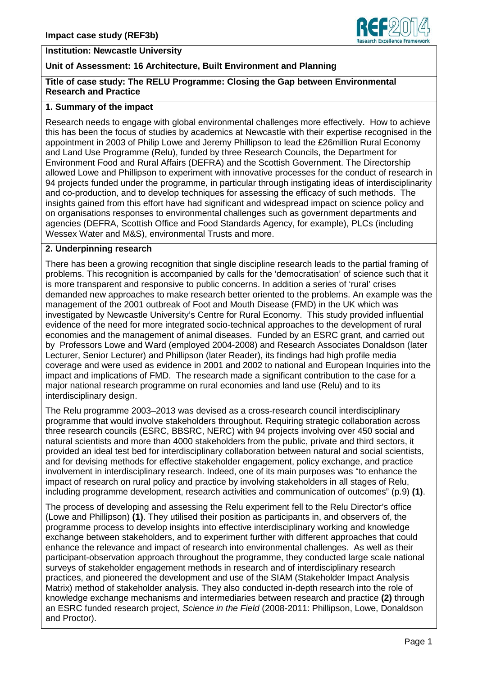

## **Unit of Assessment: 16 Architecture, Built Environment and Planning**

#### **Title of case study: The RELU Programme: Closing the Gap between Environmental Research and Practice**

### **1. Summary of the impact**

Research needs to engage with global environmental challenges more effectively. How to achieve this has been the focus of studies by academics at Newcastle with their expertise recognised in the appointment in 2003 of Philip Lowe and Jeremy Phillipson to lead the £26million Rural Economy and Land Use Programme (Relu), funded by three Research Councils, the Department for Environment Food and Rural Affairs (DEFRA) and the Scottish Government. The Directorship allowed Lowe and Phillipson to experiment with innovative processes for the conduct of research in 94 projects funded under the programme, in particular through instigating ideas of interdisciplinarity and co-production, and to develop techniques for assessing the efficacy of such methods. The insights gained from this effort have had significant and widespread impact on science policy and on organisations responses to environmental challenges such as government departments and agencies (DEFRA, Scottish Office and Food Standards Agency, for example), PLCs (including Wessex Water and M&S), environmental Trusts and more.

#### **2. Underpinning research**

There has been a growing recognition that single discipline research leads to the partial framing of problems. This recognition is accompanied by calls for the 'democratisation' of science such that it is more transparent and responsive to public concerns. In addition a series of 'rural' crises demanded new approaches to make research better oriented to the problems. An example was the management of the 2001 outbreak of Foot and Mouth Disease (FMD) in the UK which was investigated by Newcastle University's Centre for Rural Economy. This study provided influential evidence of the need for more integrated socio-technical approaches to the development of rural economies and the management of animal diseases. Funded by an ESRC grant, and carried out by Professors Lowe and Ward (employed 2004-2008) and Research Associates Donaldson (later Lecturer, Senior Lecturer) and Phillipson (later Reader), its findings had high profile media coverage and were used as evidence in 2001 and 2002 to national and European Inquiries into the impact and implications of FMD. The research made a significant contribution to the case for a major national research programme on rural economies and land use (Relu) and to its interdisciplinary design.

The Relu programme 2003–2013 was devised as a cross-research council interdisciplinary programme that would involve stakeholders throughout. Requiring strategic collaboration across three research councils (ESRC, BBSRC, NERC) with 94 projects involving over 450 social and natural scientists and more than 4000 stakeholders from the public, private and third sectors, it provided an ideal test bed for interdisciplinary collaboration between natural and social scientists, and for devising methods for effective stakeholder engagement, policy exchange, and practice involvement in interdisciplinary research. Indeed, one of its main purposes was "to enhance the impact of research on rural policy and practice by involving stakeholders in all stages of Relu, including programme development, research activities and communication of outcomes" (p.9) **(1)**.

The process of developing and assessing the Relu experiment fell to the Relu Director's office (Lowe and Phillipson) **(1)**. They utilised their position as participants in, and observers of, the programme process to develop insights into effective interdisciplinary working and knowledge exchange between stakeholders, and to experiment further with different approaches that could enhance the relevance and impact of research into environmental challenges. As well as their participant-observation approach throughout the programme, they conducted large scale national surveys of stakeholder engagement methods in research and of interdisciplinary research practices, and pioneered the development and use of the SIAM (Stakeholder Impact Analysis Matrix) method of stakeholder analysis. They also conducted in-depth research into the role of knowledge exchange mechanisms and intermediaries between research and practice **(2)** through an ESRC funded research project, *Science in the Field* (2008-2011: Phillipson, Lowe, Donaldson and Proctor).

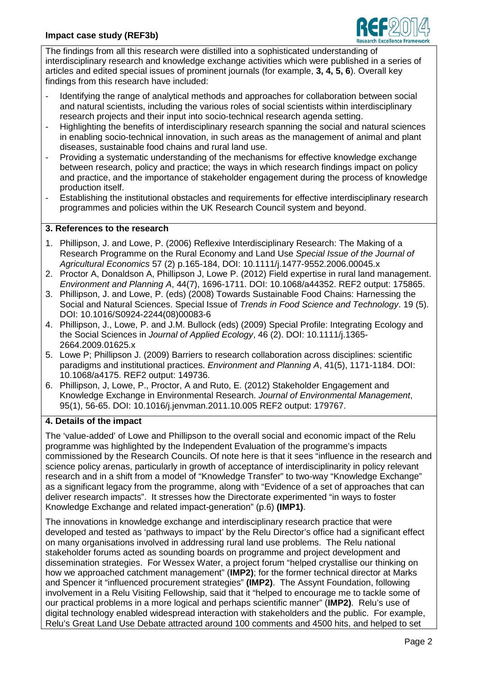

The findings from all this research were distilled into a sophisticated understanding of interdisciplinary research and knowledge exchange activities which were published in a series of articles and edited special issues of prominent journals (for example, **3, 4, 5, 6**). Overall key findings from this research have included:

- Identifying the range of analytical methods and approaches for collaboration between social and natural scientists, including the various roles of social scientists within interdisciplinary research projects and their input into socio-technical research agenda setting.
- Highlighting the benefits of interdisciplinary research spanning the social and natural sciences in enabling socio-technical innovation, in such areas as the management of animal and plant diseases, sustainable food chains and rural land use.
- Providing a systematic understanding of the mechanisms for effective knowledge exchange between research, policy and practice; the ways in which research findings impact on policy and practice, and the importance of stakeholder engagement during the process of knowledge production itself.
- Establishing the institutional obstacles and requirements for effective interdisciplinary research programmes and policies within the UK Research Council system and beyond.

# **3. References to the research**

- 1. Phillipson, J. and Lowe, P. (2006) Reflexive Interdisciplinary Research: The Making of a Research Programme on the Rural Economy and Land Use *Special Issue of the Journal of Agricultural Economics* 57 (2) p.165-184, DOI: 10.1111/j.1477-9552.2006.00045.x
- 2. Proctor A, Donaldson A, Phillipson J, Lowe P. (2012) Field expertise in rural land management. *Environment and Planning A*, 44(7), 1696-1711. DOI: 10.1068/a44352. REF2 output: 175865.
- 3. Phillipson, J. and Lowe, P. (eds) (2008) Towards Sustainable Food Chains: Harnessing the Social and Natural Sciences. Special Issue of *Trends in Food Science and Technology*. 19 (5). DOI: 10.1016/S0924-2244(08)00083-6
- 4. Phillipson, J., Lowe, P. and J.M. Bullock (eds) (2009) Special Profile: Integrating Ecology and the Social Sciences in *Journal of Applied Ecology*, 46 (2). DOI: 10.1111/j.1365- 2664.2009.01625.x
- 5. Lowe P; Phillipson J. (2009) Barriers to research collaboration across disciplines: scientific paradigms and institutional practices. *Environment and Planning A*, 41(5), 1171-1184. DOI: 10.1068/a4175. REF2 output: 149736.
- 6. Phillipson, J, Lowe, P., Proctor, A and Ruto, E. (2012) Stakeholder Engagement and Knowledge Exchange in Environmental Research. *Journal of Environmental Management*, 95(1), 56-65. DOI: 10.1016/j.jenvman.2011.10.005 REF2 output: 179767.

## **4. Details of the impact**

The 'value-added' of Lowe and Phillipson to the overall social and economic impact of the Relu programme was highlighted by the Independent Evaluation of the programme's impacts commissioned by the Research Councils. Of note here is that it sees "influence in the research and science policy arenas, particularly in growth of acceptance of interdisciplinarity in policy relevant research and in a shift from a model of "Knowledge Transfer" to two-way "Knowledge Exchange" as a significant legacy from the programme, along with "Evidence of a set of approaches that can deliver research impacts". It stresses how the Directorate experimented "in ways to foster Knowledge Exchange and related impact-generation" (p.6) **(IMP1)**.

The innovations in knowledge exchange and interdisciplinary research practice that were developed and tested as 'pathways to impact' by the Relu Director's office had a significant effect on many organisations involved in addressing rural land use problems. The Relu national stakeholder forums acted as sounding boards on programme and project development and dissemination strategies. For Wessex Water, a project forum "helped crystallise our thinking on how we approached catchment management" (**IMP2)**; for the former technical director at Marks and Spencer it "influenced procurement strategies" **(IMP2)**.The Assynt Foundation, following involvement in a Relu Visiting Fellowship, said that it "helped to encourage me to tackle some of our practical problems in a more logical and perhaps scientific manner" (**IMP2)**. Relu's use of digital technology enabled widespread interaction with stakeholders and the public. For example, Relu's Great Land Use Debate attracted around 100 comments and 4500 hits, and helped to set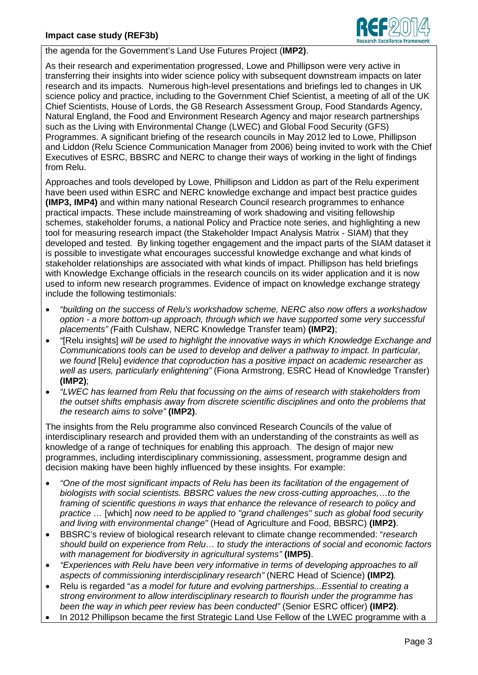

the agenda for the Government's Land Use Futures Project (**IMP2)**.

As their research and experimentation progressed, Lowe and Phillipson were very active in transferring their insights into wider science policy with subsequent downstream impacts on later research and its impacts. Numerous high-level presentations and briefings led to changes in UK science policy and practice, including to the Government Chief Scientist, a meeting of all of the UK Chief Scientists, House of Lords, the G8 Research Assessment Group, Food Standards Agency, Natural England, the Food and Environment Research Agency and major research partnerships such as the Living with Environmental Change (LWEC) and Global Food Security (GFS) Programmes. A significant briefing of the research councils in May 2012 led to Lowe, Phillipson and Liddon (Relu Science Communication Manager from 2006) being invited to work with the Chief Executives of ESRC, BBSRC and NERC to change their ways of working in the light of findings from Relu.

Approaches and tools developed by Lowe, Phillipson and Liddon as part of the Relu experiment have been used within ESRC and NERC knowledge exchange and impact best practice guides **(IMP3, IMP4)** and within many national Research Council research programmes to enhance practical impacts. These include mainstreaming of work shadowing and visiting fellowship schemes, stakeholder forums, a national Policy and Practice note series, and highlighting a new tool for measuring research impact (the Stakeholder Impact Analysis Matrix - SIAM) that they developed and tested. By linking together engagement and the impact parts of the SIAM dataset it is possible to investigate what encourages successful knowledge exchange and what kinds of stakeholder relationships are associated with what kinds of impact. Phillipson has held briefings with Knowledge Exchange officials in the research councils on its wider application and it is now used to inform new research programmes. Evidence of impact on knowledge exchange strategy include the following testimonials:

- *"building on the success of Relu's workshadow scheme, NERC also now offers a workshadow option - a more bottom-up approach, through which we have supported some very successful placements" (*Faith Culshaw, NERC Knowledge Transfer team) **(IMP2)**;
- *"*[Relu insights] *will be used to highlight the innovative ways in which Knowledge Exchange and Communications tools can be used to develop and deliver a pathway to impact. In particular, we found* [Relu] *evidence that coproduction has a positive impact on academic researcher as well as users, particularly enlightening"* (Fiona Armstrong, ESRC Head of Knowledge Transfer) **(IMP2)**;
- *"LWEC has learned from Relu that focussing on the aims of research with stakeholders from the outset shifts emphasis away from discrete scientific disciplines and onto the problems that the research aims to solve"* **(IMP2)**.

The insights from the Relu programme also convinced Research Councils of the value of interdisciplinary research and provided them with an understanding of the constraints as well as knowledge of a range of techniques for enabling this approach. The design of major new programmes, including interdisciplinary commissioning, assessment, programme design and decision making have been highly influenced by these insights. For example:

- *"One of the most significant impacts of Relu has been its facilitation of the engagement of biologists with social scientists. BBSRC values the new cross-cutting approaches,…to the framing of scientific questions in ways that enhance the relevance of research to policy and practice …* [which] *now need to be applied to "grand challenges" such as global food security and living with environmental change"* (Head of Agriculture and Food, BBSRC) **(IMP2)**.
- BBSRC's review of biological research relevant to climate change recommended: "*research should build on experience from Relu… to study the interactions of social and economic factors with management for biodiversity in agricultural systems"* **(IMP5)**.
- *"Experiences with Relu have been very informative in terms of developing approaches to all aspects of commissioning interdisciplinary research"* (NERC Head of Science) **(IMP2)***.*
- Relu is regarded "*as a model for future and evolving partnerships...Essential to creating a strong environment to allow interdisciplinary research to flourish under the programme has been the way in which peer review has been conducted"* (Senior ESRC officer) **(IMP2)**.
- In 2012 Phillipson became the first Strategic Land Use Fellow of the LWEC programme with a